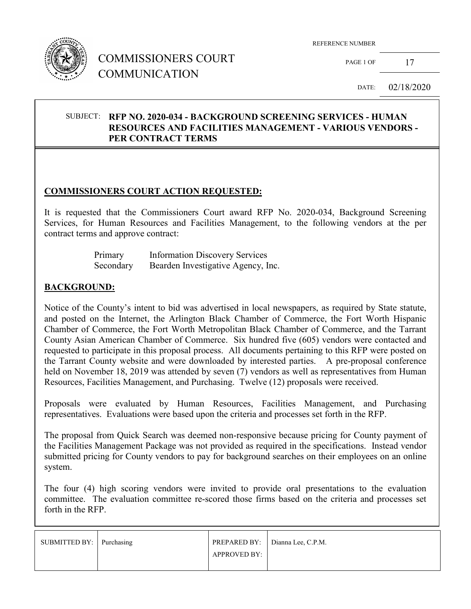

## COMMISSIONERS COURT COMMUNICATION

PAGE 1 OF  $17$ 

DATE: 02/18/2020

#### SUBJECT: **RFP NO. 2020-034 - BACKGROUND SCREENING SERVICES - HUMAN RESOURCES AND FACILITIES MANAGEMENT - VARIOUS VENDORS - PER CONTRACT TERMS**

#### **COMMISSIONERS COURT ACTION REQUESTED:**

It is requested that the Commissioners Court award RFP No. 2020-034, Background Screening Services, for Human Resources and Facilities Management, to the following vendors at the per contract terms and approve contract:

| Primary   | <b>Information Discovery Services</b> |
|-----------|---------------------------------------|
| Secondary | Bearden Investigative Agency, Inc.    |

#### **BACKGROUND:**

Notice of the County's intent to bid was advertised in local newspapers, as required by State statute, and posted on the Internet, the Arlington Black Chamber of Commerce, the Fort Worth Hispanic Chamber of Commerce, the Fort Worth Metropolitan Black Chamber of Commerce, and the Tarrant County Asian American Chamber of Commerce. Six hundred five (605) vendors were contacted and requested to participate in this proposal process. All documents pertaining to this RFP were posted on the Tarrant County website and were downloaded by interested parties. A pre-proposal conference held on November 18, 2019 was attended by seven (7) vendors as well as representatives from Human Resources, Facilities Management, and Purchasing. Twelve (12) proposals were received.

Proposals were evaluated by Human Resources, Facilities Management, and Purchasing representatives. Evaluations were based upon the criteria and processes set forth in the RFP.

The proposal from Quick Search was deemed non-responsive because pricing for County payment of the Facilities Management Package was not provided as required in the specifications. Instead vendor submitted pricing for County vendors to pay for background searches on their employees on an online system.

The four (4) high scoring vendors were invited to provide oral presentations to the evaluation committee. The evaluation committee re-scored those firms based on the criteria and processes set forth in the RFP.

| SUBMITTED BY: Purchasing |              | PREPARED BY: Dianna Lee, C.P.M. |
|--------------------------|--------------|---------------------------------|
|                          | APPROVED BY: |                                 |